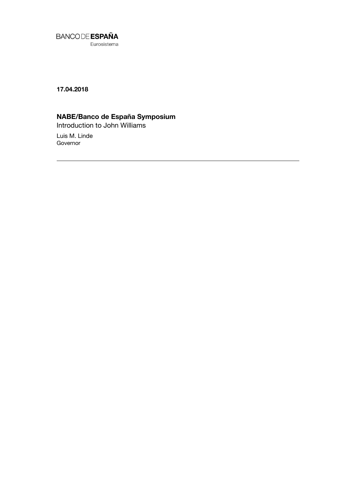

**17.04.2018**

## **NABE/Banco de España Symposium**

Introduction to John Williams

Luis M. Linde Governor